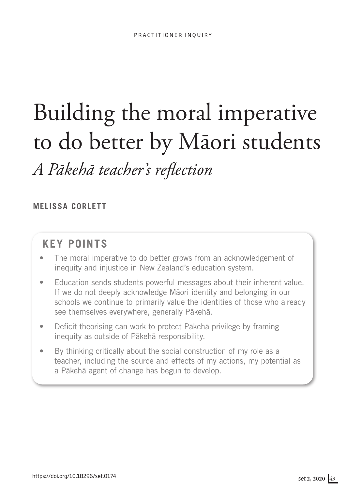# Building the moral imperative to do better by Māori students *A Pākehā teacher's reflection*

## **MELISSA CORLETT**

## **KEY POINTS**

- The moral imperative to do better grows from an acknowledgement of inequity and injustice in New Zealand's education system.
- Education sends students powerful messages about their inherent value. If we do not deeply acknowledge Māori identity and belonging in our schools we continue to primarily value the identities of those who already see themselves everywhere, generally Pākehā.
- Deficit theorising can work to protect Pākehā privilege by framing inequity as outside of Pākehā responsibility.
- By thinking critically about the social construction of my role as a teacher, including the source and effects of my actions, my potential as a Pākehā agent of change has begun to develop.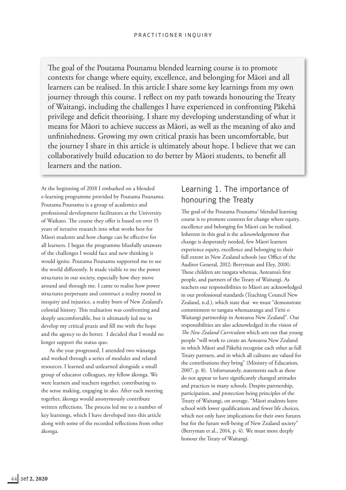The goal of the Poutama Pounamu blended learning course is to promote contexts for change where equity, excellence, and belonging for Māori and all learners can be realised. In this article I share some key learnings from my own journey through this course. I reflect on my path towards honouring the Treaty of Waitangi, including the challenges I have experienced in confronting Pākehā privilege and deficit theorising. I share my developing understanding of what it means for Māori to achieve success as Māori, as well as the meaning of ako and unfinishedness. Growing my own critical praxis has been uncomfortable, but the journey I share in this article is ultimately about hope. I believe that we can collaboratively build education to do better by Māori students, to benefit all learners and the nation.

At the beginning of 2018 I embarked on a blended e-learning programme provided by Poutama Pounamu. Poutama Pounamu is a group of academics and professional development facilitators at the University of Waikato. The course they offer is based on over 15 years of iterative research into what works best for Māori students and how change can be effective for all learners. I began the programme blissfully unaware of the challenges I would face and new thinking it would ignite. Poutama Pounamu supported me to see the world differently. It made visible to me the power structures in our society, especially how they move around and through me. I came to realise how power structures perpetuate and construct a reality rooted in inequity and injustice, a reality born of New Zealand's colonial history. This realisation was confronting and deeply uncomfortable, but it ultimately led me to develop my critical praxis and fill me with the hope and the agency to do better. I decided that I would no longer support the status quo.

As the year progressed, I attended two wānanga and worked through a series of modules and related resources. I learned and unlearned alongside a small group of educator colleagues, my fellow ākonga. We were learners and teachers together, contributing to the sense making, engaging in ako. After each meeting together, ākonga would anonymously contribute written reflections. The process led me to a number of key learnings, which I have developed into this article along with some of the recorded reflections from other ākonga.

## Learning 1. The importance of honouring the Treaty

The goal of the Poutama Pounamu<sup>1</sup> blended learning course is to promote contexts for change where equity, excellence and belonging for Māori can be realised. Inherent in this goal is the acknowledgement that change is desperately needed, few Māori learners experience equity, excellence and belonging to their full extent in New Zealand schools (see Office of the Auditor General, 2012; Berryman and Eley, 2018). These children are tangata whenua, Aotearoa's first people, and partners of the Treaty of Waitangi. As teachers our responsibilities to Māori are acknowledged in our professional standards (Teaching Council New Zealand, n.d.), which state that we must "demonstrate commitment to tangata whenuatanga and Tiriti o Waitangi partnership in Aotearoa New Zealand". Our responsibilities are also acknowledged in the vision of *The New Zealand Curriculum* which sets out that young people "will work to create an Aotearoa New Zealand in which Māori and Pākehā recognise each other as full Treaty partners, and in which all cultures are valued for the contributions they bring" (Ministry of Education, 2007, p. 8). Unfortunately, statements such as these do not appear to have significantly changed attitudes and practices in many schools. Despite partnership, participation, and protection being principles of the Treaty of Waitangi, on average, "Māori students leave school with lower qualifications and fewer life choices, which not only have implications for their own futures but for the future well-being of New Zealand society" (Berryman et al., 2014, p. 4). We must more deeply honour the Treaty of Waitangi.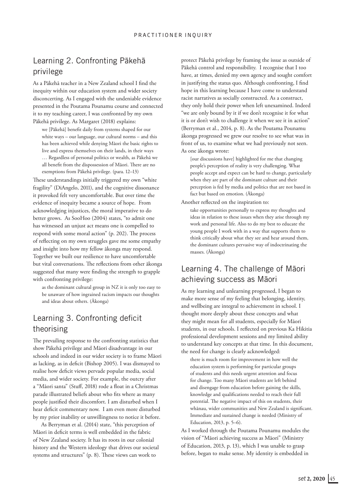## Learning 2. Confronting Pākehā privilege

As a Pākehā teacher in a New Zealand school I find the inequity within our education system and wider society disconcerting. As I engaged with the undeniable evidence presented in the Poutama Pounamu course and connected it to my teaching career, I was confronted by my own Pākehā privilege. As Margaret (2018) explains:

we [Pākehā] benefit daily from systems shaped for our white ways – our language, our cultural norms – and this has been achieved while denying Māori the basic rights to live and express themselves on their lands, in their ways … Regardless of personal politics or wealth, as Pākehā we all benefit from the dispossession of Māori. There are no exemptions from Pākehā privilege. (para. 12–13)

These understandings initially triggered my own "white fragility" (DiAngelo, 2011), and the cognitive dissonance it provoked felt very uncomfortable. But over time the evidence of inequity became a source of hope. From acknowledging injustices, the moral imperative to do better grows. As SooHoo (2004) states, "to admit one has witnessed an unjust act means one is compelled to respond with some moral action" (p. 202). The process of reflecting on my own struggles gave me some empathy and insight into how my fellow ākonga may respond. Together we built our resilience to have uncomfortable but vital conversations. The reflections from other ākonga suggested that many were finding the strength to grapple with confronting privilege:

as the dominant cultural group in NZ it is only too easy to be unaware of how ingrained racism impacts our thoughts and ideas about others. (Ākonga)

## Learning 3. Confronting deficit theorising

The prevailing response to the confronting statistics that show Pākehā privilege and Māori disadvantage in our schools and indeed in our wider society is to frame Māori as lacking, as in deficit (Bishop 2005). I was dismayed to realise how deficit views pervade popular media, social media, and wider society. For example, the outcry after a "Māori santa" (Stuff, 2018) rode a float in a Christmas parade illustrated beliefs about who fits where as many people justified their discomfort. I am disturbed when I hear deficit commentary now. I am even more disturbed by my prior inability or unwillingness to notice it before.

As Berryman et al. (2014) state, "this perception of Māori in deficit terms is well embedded in the fabric of New Zealand society. It has its roots in our colonial history and the Western ideology that drives our societal systems and structures" (p. 8). These views can work to

protect Pākehā privilege by framing the issue as outside of Pākehā control and responsibility. I recognise that I too have, at times, denied my own agency and sought comfort in justifying the status quo. Although confronting, I find hope in this learning because I have come to understand racist narratives as socially constructed. As a construct, they only hold their power when left unexamined. Indeed "we are only bound by it if we don't recognise it for what it is or don't wish to challenge it when we see it in action" (Berryman et al., 2014, p. 8). As the Poutama Pounamu ākonga progressed we grew our resolve to see what was in front of us, to examine what we had previously not seen. As one ākonga wrote:

[our discussions have] highlighted for me that changing people's perception of reality is very challenging. What people accept and expect can be hard to change, particularly when they are part of the dominant culture and their perception is fed by media and politics that are not based in fact but based on emotion. (Ākonga)

Another reflected on the inspiration to:

take opportunities personally to express my thoughts and ideas in relation to these issues when they arise through my work and personal life. Also to do my best to educate the young people I work with in a way that supports them to think critically about what they see and hear around them, the dominant cultures pervasive way of indoctrinating the masses. (Ākonga)

## Learning 4. The challenge of Māori achieving success as Māori

As my learning and unlearning progressed, I began to make more sense of my feeling that belonging, identity, and wellbeing are integral to achievement in school. I thought more deeply about these concepts and what they might mean for all students, especially for Māori students, in our schools. I reflected on previous Ka Hikitia professional development sessions and my limited ability to understand key concepts at that time. In this document, the need for change is clearly acknowledged:

there is much room for improvement in how well the education system is performing for particular groups of students and this needs urgent attention and focus for change. Too many Māori students are left behind and disengage from education before gaining the skills, knowledge and qualifications needed to reach their full potential. The negative impact of this on students, their whānau, wider communities and New Zealand is significant. Immediate and sustained change is needed (Ministry of Education, 2013, p. 5–6).

As I worked through the Poutama Pounamu modules the vision of "Māori achieving success as Māori" (Ministry of Education, 2013, p. 13), which I was unable to grasp before, began to make sense. My identity is embedded in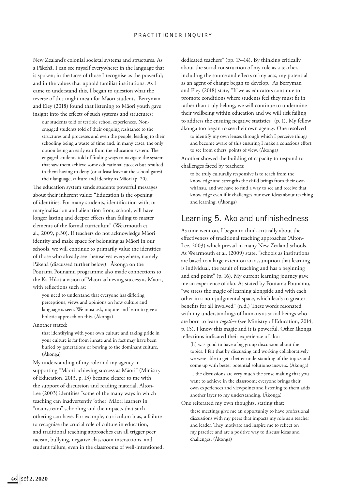#### PRACTITIONER INQUIRY

New Zealand's colonial societal systems and structures. As a Pākehā, I can see myself everywhere: in the language that is spoken; in the faces of those I recognise as the powerful; and in the values that uphold familiar institutions. As I came to understand this, I began to question what the reverse of this might mean for Māori students. Berryman and Eley (2018) found that listening to Māori youth gave insight into the effects of such systems and structures:

our students told of terrible school experiences. Nonengaged students told of their ongoing resistance to the structures and processes and even the people, leading to their schooling being a waste of time and, in many cases, the only option being an early exit from the education system. The engaged students told of finding ways to navigate the system that saw them achieve some educational success but resulted in them having to deny (or at least leave at the school gates) their language, culture and identity as Māori (p. 20).

The education system sends students powerful messages about their inherent value: "Education is the opening of identities. For many students, identification with, or marginalisation and alienation from, school, will have longer lasting and deeper effects than failing to master elements of the formal curriculum" (Wearmouth et al., 2009, p.30). If teachers do not acknowledge Māori identity and make space for belonging as Māori in our schools, we will continue to primarily value the identities of those who already see themselves everywhere, namely Pākehā (discussed further below). Ākonga on the Poutama Pounamu programme also made connections to the Ka Hikitia vision of Māori achieving success as Māori, with reflections such as:

you need to understand that everyone has differing perceptions, views and opinions on how culture and language is seen. We must ask, inquire and learn to give a holistic approach on this. (Ākonga)

Another stated:

that identifying with your own culture and taking pride in your culture is far from innate and in fact may have been buried by generations of bowing to the dominant culture. (Ākonga)

My understanding of my role and my agency in supporting "Māori achieving success as Māori" (Ministry of Education, 2013, p. 13) became clearer to me with the support of discussion and reading material. Alton-Lee (2003) identifies "some of the many ways in which teaching can inadvertently 'other' Māori learners in "mainstream" schooling and the impacts that such othering can have. For example, curriculum bias, a failure to recognise the crucial role of culture in education, and traditional teaching approaches can all trigger peer racism, bullying, negative classroom interactions, and student failure, even in the classrooms of well-intentioned, dedicated teachers" (pp. 13–14). By thinking critically about the social construction of my role as a teacher, including the source and effects of my acts, my potential as an agent of change began to develop. As Berryman and Eley (2018) state, "If we as educators continue to promote conditions where students feel they must fit in rather than truly belong, we will continue to undermine their wellbeing within education and we will risk failing to address the ensuing negative statistics" (p. 1). My fellow ākonga too began to see their own agency. One resolved

to identify my own lenses through which I perceive things and become aware of this ensuring I make a conscious effort to see from others' points of view. (Ākonga)

Another showed the building of capacity to respond to challenges faced by teachers:

to be truly culturally responsive is to teach from the knowledge and strengths the child brings from their own whānau, and we have to find a way to see and receive that knowledge even if it challenges our own ideas about teaching and learning. (Ākonga)

#### Learning 5. Ako and unfinishedness

As time went on, I began to think critically about the effectiveness of traditional teaching approaches (Alton-Lee, 2003) which prevail in many New Zealand schools. As Wearmouth et al. (2009) state, "schools as institutions are based to a large extent on an assumption that learning is individual, the result of teaching and has a beginning and end point" (p. 16). My current learning journey gave me an experience of ako. As stated by Poutama Pounamu, "we stress the magic of learning alongside and with each other in a non-judgmental space, which leads to greater benefits for all involved" (n.d.) These words resonated with my understandings of humans as social beings who are born to learn *together* (see Ministry of Education, 2014, p. 15). I know this magic and it is powerful. Other ākonga reflections indicated their experience of ako:

[It] was good to have a big group discussion about the topics. I felt that by discussing and working collaboratively we were able to get a better understanding of the topics and come up with better potential solutions/answers. (Ākonga)

... the discussions are very much the sense making that you want to achieve in the classroom; everyone brings their own experiences and viewpoints and listening to them adds another layer to my understanding. (Ākonga)

One reiterated my own thoughts, stating that:

these meetings give me an opportunity to have professional discussions with my peers that impacts my role as a teacher and leader. They motivate and inspire me to reflect on my practice and are a positive way to discuss ideas and challenges. (Ākonga)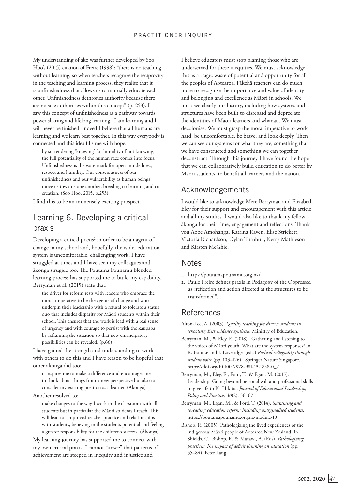My understanding of ako was further developed by Soo Hoo's (2015) citation of Freire (1998): "there is no teaching without learning, so when teachers recognize the reciprocity in the teaching and learning process, they realise that it is unfinishedness that allows us to mutually educate each other. Unfinishedness dethrones authority because there are no sole authorities within this concept" (p. 253). I saw this concept of unfinishedness as a pathway towards power sharing and lifelong learning. I am learning and I will never be finished. Indeed I believe that all humans are learning and we learn best together. In this way everybody is connected and this idea fills me with hope:

by surrendering 'knowing' for humility of not knowing, the full potentiality of the human race comes into focus. Unfinishedness is the watermark for open-mindedness, respect and humility. Our consciousness of our unfinishedness and our vulnerability as human beings move us towards one another, breeding co-learning and cocreation. (Soo Hoo, 2015, p.253)

I find this to be an immensely exciting prospect.

## Learning 6. Developing a critical praxis

Developing a critical praxis<sup>2</sup> in order to be an agent of change in my school and, hopefully, the wider education system is uncomfortable, challenging work. I have struggled at times and I have seen my colleagues and ākonga struggle too. The Poutama Pounamu blended learning process has supported me to build my capability. Berryman et al. (2015) state that:

the driver for reform rests with leaders who embrace the moral imperative to be the agents of change and who underpin their leadership with a refusal to tolerate a status quo that includes disparity for Māori students within their school. This ensures that the work is lead with a real sense of urgency and with courage to persist with the kaupapa by reframing the situation so that new emancipatory possibilities can be revealed. (p.66)

I have gained the strength and understanding to work with others to do this and I have reason to be hopeful that other ākonga did too:

it inspires me to make a difference and encourages me to think about things from a new perspective but also to consider my existing position as a learner. (Ākonga)

#### Another resolved to:

make changes to the way I work in the classroom with all students but in particular the Māori students I teach. This will lead to: Improved teacher practice and relationships with students, believing in the students potential and feeling a greater responsibility for the children's success. (Ākonga)

My learning journey has supported me to connect with my own critical praxis. I cannot "unsee" that patterns of achievement are steeped in inequity and injustice and

I believe educators must stop blaming those who are underserved for these inequities. We must acknowledge this as a tragic waste of potential and opportunity for all the peoples of Aotearoa. Pākehā teachers can do much more to recognise the importance and value of identity and belonging and excellence as Māori in schools. We must see clearly our history, including how systems and structures have been built to disregard and depreciate the identities of Māori learners and whānau. We must decolonise. We must grasp the moral imperative to work hard, be uncomfortable, be brave, and look deeply. Then we can see our systems for what they are, something that we have constructed and something we can together deconstruct. Through this journey I have found the hope that we can collaboratively build education to do better by Māori students, to benefit all learners and the nation.

## Acknowledgements

I would like to acknowledge Mere Berryman and Elizabeth Eley for their support and encouragement with this article and all my studies. I would also like to thank my fellow ākonga for their time, engagement and reflections. Thank you Abbe Amohanga, Katrina Raven, Elise Strickett, Victoria Richardson, Dylan Turnbull, Kerry Mathieson and Kirsten McGhie.

#### Notes

- 1. https://poutamapounamu.org.nz/
- 2. Paulo Freire defines praxis in Pedagogy of the Oppressed as «reflection and action directed at the structures to be transformed".

### References

- Alton-Lee, A. (2003). *Quality teaching for diverse students in schooling: Best evidence synthesis.* Ministry of Education.
- Berryman, M., & Eley, E. (2018). Gathering and listening to the voices of Māori youth: What are the system responses? In R. Bourke and J. Loveridge (eds.) *Radical collegiality through student voice* (pp. 103–126). Springer Nature Singapore. https://doi.org/10.1007/978-981-13-1858-0\_7

Berryman, M., Eley, E., Ford, T., & Egan, M. (2015). Leadership: Going beyond personal will and professional skills to give life to Ka Hikitia. *Journal of Educational Leadership, Policy and Practice*. *30*(2). 56–67.

Berryman, M., Egan, M., & Ford, T. (2014). *Sustaining and spreading education reform: including marginalised students*. https://poutamapounamu.org.nz/module-10

Bishop, R. (2005). Pathologizing the lived experiences of the indigenous Māori people of Aotearoa New Zealand. In Shields, C., Bishop, R. & Mazawi, A. (Eds), *Pathologizing practices: The impact of deficit thinking on education* (pp. 55–84). Peter Lang.